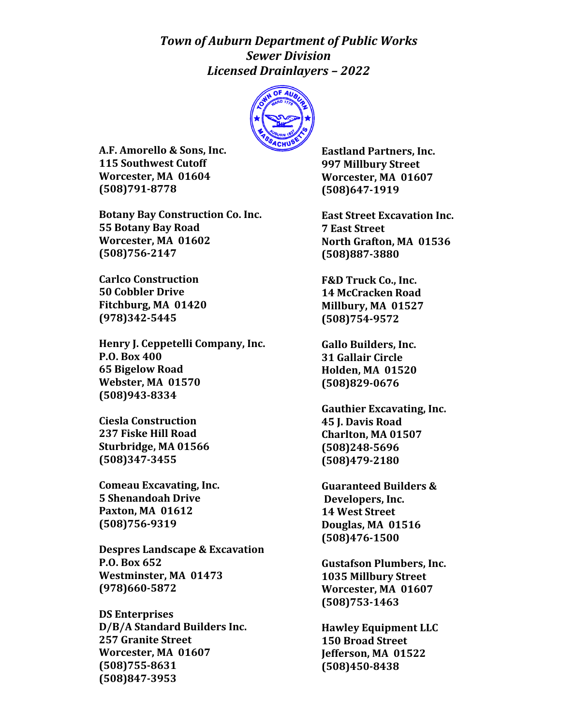## *Town of Auburn Department of Public Works Sewer Division Licensed Drainlayers – 2022*



**A.F. Amorello & Sons, Inc. 115 Southwest Cutoff Worcester, MA 01604 (508)791-8778**

**Botany Bay Construction Co. Inc. 55 Botany Bay Road Worcester, MA 01602 (508)756-2147**

**Carlco Construction 50 Cobbler Drive Fitchburg, MA 01420 (978)342-5445**

**Henry J. Ceppetelli Company, Inc. P.O. Box 400 65 Bigelow Road Webster, MA 01570 (508)943-8334**

**Ciesla Construction 237 Fiske Hill Road Sturbridge, MA 01566 (508)347-3455**

**Comeau Excavating, Inc. 5 Shenandoah Drive Paxton, MA 01612 (508)756-9319**

**Despres Landscape & Excavation P.O. Box 652 Westminster, MA 01473 (978)660-5872**

**DS Enterprises D/B/A Standard Builders Inc. 257 Granite Street Worcester, MA 01607 (508)755-8631 (508)847-3953**

**Eastland Partners, Inc. 997 Millbury Street Worcester, MA 01607 (508)647-1919**

**East Street Excavation Inc. 7 East Street North Grafton, MA 01536 (508)887-3880**

**F&D Truck Co., Inc. 14 McCracken Road Millbury, MA 01527 (508)754-9572**

**Gallo Builders, Inc. 31 Gallair Circle Holden, MA 01520 (508)829-0676**

**Gauthier Excavating, Inc. 45 J. Davis Road Charlton, MA 01507 (508)248-5696 (508)479-2180**

**Guaranteed Builders & Developers, Inc. 14 West Street Douglas, MA 01516 (508)476-1500**

**Gustafson Plumbers, Inc. 1035 Millbury Street Worcester, MA 01607 (508)753-1463**

**Hawley Equipment LLC 150 Broad Street Jefferson, MA 01522 (508)450-8438**